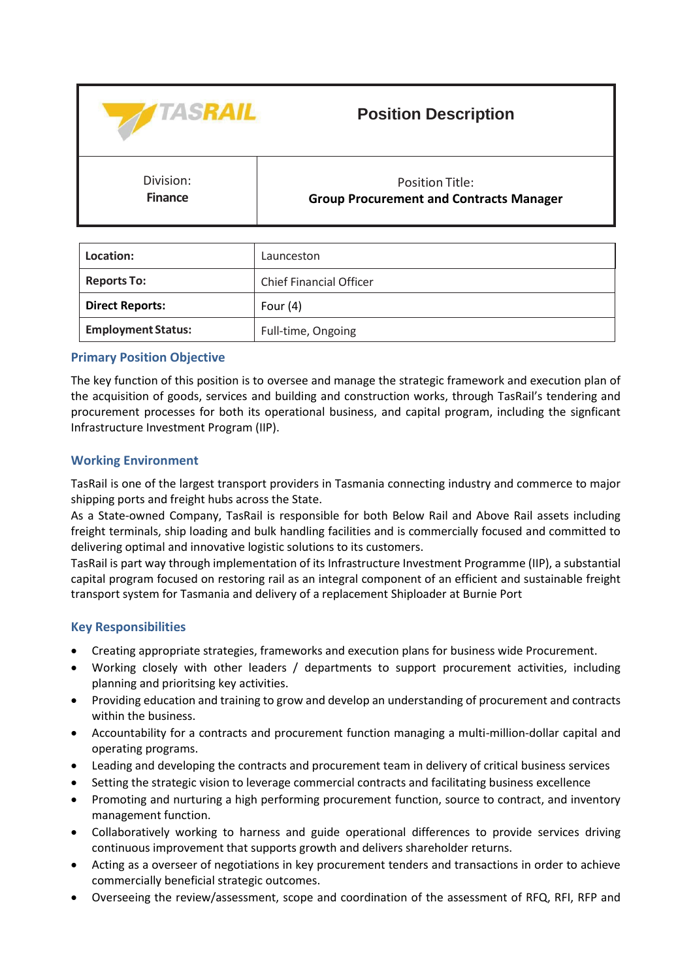

# **Position Description**

Division: **Finance**

Position Title: **Group Procurement and Contracts Manager**

| Location:                 | Launceston                     |
|---------------------------|--------------------------------|
| <b>Reports To:</b>        | <b>Chief Financial Officer</b> |
| <b>Direct Reports:</b>    | Four $(4)$                     |
| <b>Employment Status:</b> | Full-time, Ongoing             |

# **Primary Position Objective**

The key function of this position is to oversee and manage the strategic framework and execution plan of the acquisition of goods, services and building and construction works, through TasRail's tendering and procurement processes for both its operational business, and capital program, including the signficant Infrastructure Investment Program (IIP).

# **Working Environment**

TasRail is one of the largest transport providers in Tasmania connecting industry and commerce to major shipping ports and freight hubs across the State.

As a State-owned Company, TasRail is responsible for both Below Rail and Above Rail assets including freight terminals, ship loading and bulk handling facilities and is commercially focused and committed to delivering optimal and innovative logistic solutions to its customers.

TasRail is part way through implementation of its Infrastructure Investment Programme (IIP), a substantial capital program focused on restoring rail as an integral component of an efficient and sustainable freight transport system for Tasmania and delivery of a replacement Shiploader at Burnie Port

# **Key Responsibilities**

- Creating appropriate strategies, frameworks and execution plans for business wide Procurement.
- Working closely with other leaders / departments to support procurement activities, including planning and prioritsing key activities.
- Providing education and training to grow and develop an understanding of procurement and contracts within the business.
- Accountability for a contracts and procurement function managing a multi-million-dollar capital and operating programs.
- Leading and developing the contracts and procurement team in delivery of critical business services
- Setting the strategic vision to leverage commercial contracts and facilitating business excellence
- Promoting and nurturing a high performing procurement function, source to contract, and inventory management function.
- Collaboratively working to harness and guide operational differences to provide services driving continuous improvement that supports growth and delivers shareholder returns.
- Acting as a overseer of negotiations in key procurement tenders and transactions in order to achieve commercially beneficial strategic outcomes.
- Overseeing the review/assessment, scope and coordination of the assessment of RFQ, RFI, RFP and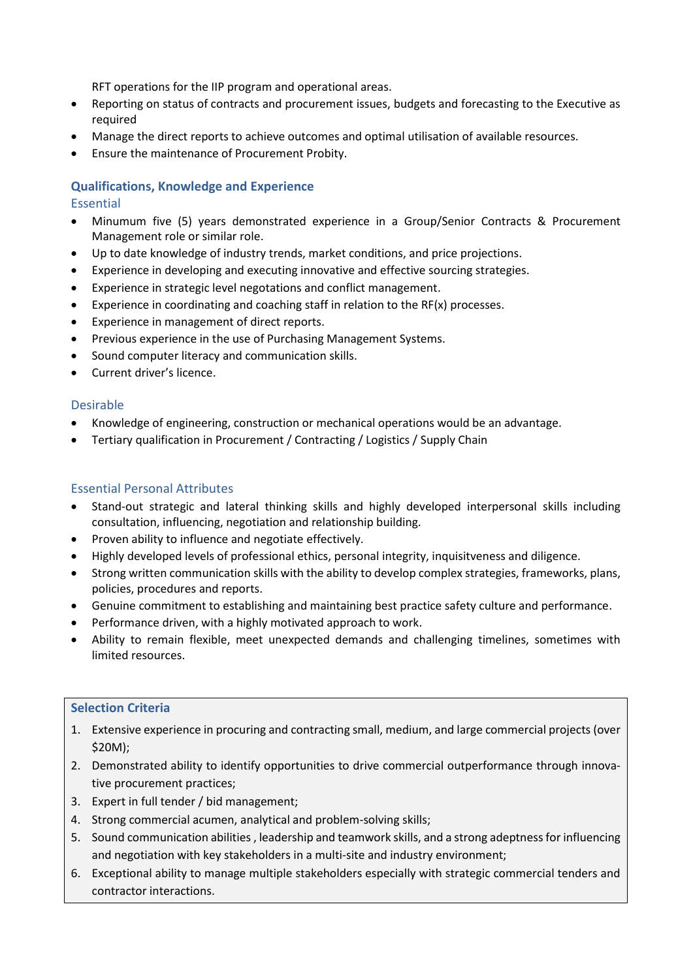RFT operations for the IIP program and operational areas.

- Reporting on status of contracts and procurement issues, budgets and forecasting to the Executive as required
- Manage the direct reports to achieve outcomes and optimal utilisation of available resources.
- Ensure the maintenance of Procurement Probity.

# **Qualifications, Knowledge and Experience**

### Essential

- Minumum five (5) years demonstrated experience in a Group/Senior Contracts & Procurement Management role or similar role.
- Up to date knowledge of industry trends, market conditions, and price projections.
- Experience in developing and executing innovative and effective sourcing strategies.
- Experience in strategic level negotations and conflict management.
- Experience in coordinating and coaching staff in relation to the  $RF(x)$  processes.
- Experience in management of direct reports.
- Previous experience in the use of Purchasing Management Systems.
- Sound computer literacy and communication skills.
- Current driver's licence.

### Desirable

- Knowledge of engineering, construction or mechanical operations would be an advantage.
- Tertiary qualification in Procurement / Contracting / Logistics / Supply Chain

### Essential Personal Attributes

- Stand-out strategic and lateral thinking skills and highly developed interpersonal skills including consultation, influencing, negotiation and relationship building.
- Proven ability to influence and negotiate effectively.
- Highly developed levels of professional ethics, personal integrity, inquisitveness and diligence.
- Strong written communication skills with the ability to develop complex strategies, frameworks, plans, policies, procedures and reports.
- Genuine commitment to establishing and maintaining best practice safety culture and performance.
- Performance driven, with a highly motivated approach to work.
- Ability to remain flexible, meet unexpected demands and challenging timelines, sometimes with limited resources.

### **Selection Criteria**

- 1. Extensive experience in procuring and contracting small, medium, and large commercial projects (over \$20M);
- 2. Demonstrated ability to identify opportunities to drive commercial outperformance through innovative procurement practices;
- 3. Expert in full tender / bid management;
- 4. Strong commercial acumen, analytical and problem-solving skills;
- 5. Sound communication abilities , leadership and teamwork skills, and a strong adeptness for influencing and negotiation with key stakeholders in a multi-site and industry environment;
- 6. Exceptional ability to manage multiple stakeholders especially with strategic commercial tenders and contractor interactions.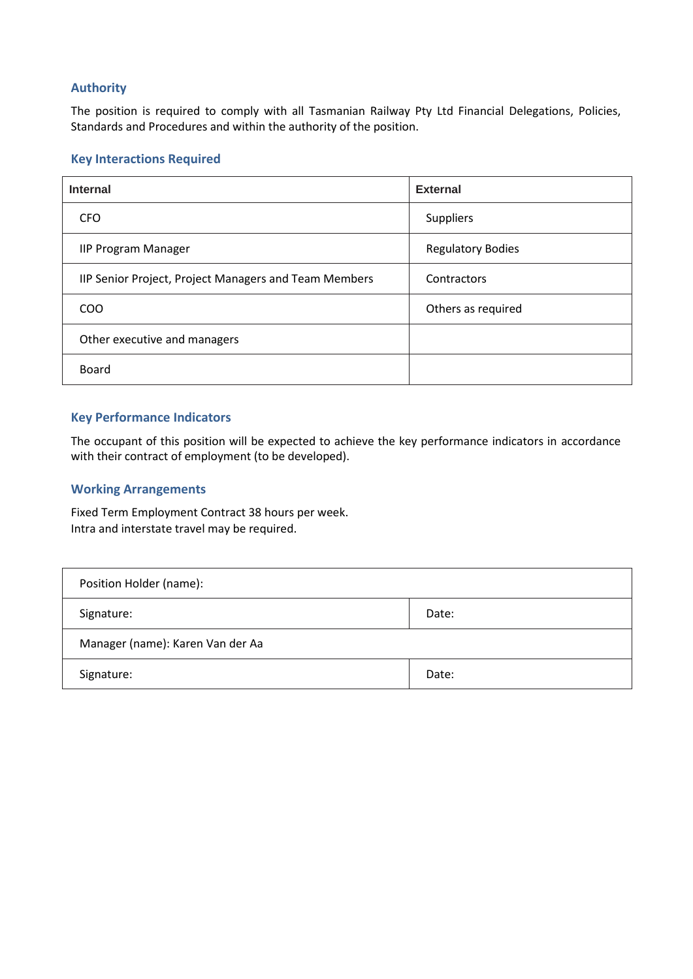# **Authority**

The position is required to comply with all Tasmanian Railway Pty Ltd Financial Delegations, Policies, Standards and Procedures and within the authority of the position.

### **Key Interactions Required**

| <b>Internal</b>                                       | <b>External</b>          |
|-------------------------------------------------------|--------------------------|
| <b>CFO</b>                                            | <b>Suppliers</b>         |
| <b>IIP Program Manager</b>                            | <b>Regulatory Bodies</b> |
| IIP Senior Project, Project Managers and Team Members | Contractors              |
| CO <sub>O</sub>                                       | Others as required       |
| Other executive and managers                          |                          |
| <b>Board</b>                                          |                          |

# **Key Performance Indicators**

The occupant of this position will be expected to achieve the key performance indicators in accordance with their contract of employment (to be developed).

#### **Working Arrangements**

Fixed Term Employment Contract 38 hours per week. Intra and interstate travel may be required.

| Position Holder (name):          |       |  |
|----------------------------------|-------|--|
| Signature:                       | Date: |  |
| Manager (name): Karen Van der Aa |       |  |
| Signature:                       | Date: |  |